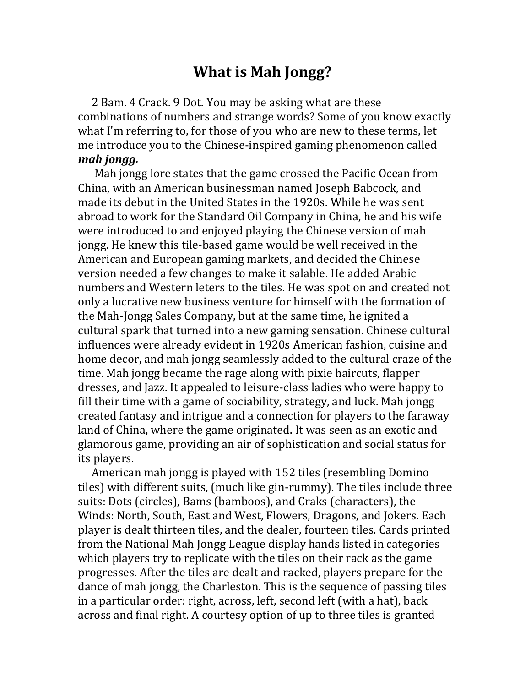## **What is Mah Jongg?**

 2 Bam. 4 Crack. 9 Dot. You may be asking what are these combinations of numbers and strange words? Some of you know exactly what I'm referring to, for those of you who are new to these terms, let me introduce you to the Chinese-inspired gaming phenomenon called *mah jongg.*

 Mah jongg lore states that the game crossed the Pacific Ocean from China, with an American businessman named Joseph Babcock, and made its debut in the United States in the 1920s. While he was sent abroad to work for the Standard Oil Company in China, he and his wife were introduced to and enjoyed playing the Chinese version of mah jongg. He knew this tile-based game would be well received in the American and European gaming markets, and decided the Chinese version needed a few changes to make it salable. He added Arabic numbers and Western leters to the tiles. He was spot on and created not only a lucrative new business venture for himself with the formation of the Mah-Jongg Sales Company, but at the same time, he ignited a cultural spark that turned into a new gaming sensation. Chinese cultural influences were already evident in 1920s American fashion, cuisine and home decor, and mah jongg seamlessly added to the cultural craze of the time. Mah jongg became the rage along with pixie haircuts, flapper dresses, and Jazz. It appealed to leisure-class ladies who were happy to fill their time with a game of sociability, strategy, and luck. Mah jongg created fantasy and intrigue and a connection for players to the faraway land of China, where the game originated. It was seen as an exotic and glamorous game, providing an air of sophistication and social status for its players.

 American mah jongg is played with 152 tiles (resembling Domino tiles) with different suits, (much like gin-rummy). The tiles include three suits: Dots (circles), Bams (bamboos), and Craks (characters), the Winds: North, South, East and West, Flowers, Dragons, and Jokers. Each player is dealt thirteen tiles, and the dealer, fourteen tiles. Cards printed from the National Mah Jongg League display hands listed in categories which players try to replicate with the tiles on their rack as the game progresses. After the tiles are dealt and racked, players prepare for the dance of mah jongg, the Charleston. This is the sequence of passing tiles in a particular order: right, across, left, second left (with a hat), back across and final right. A courtesy option of up to three tiles is granted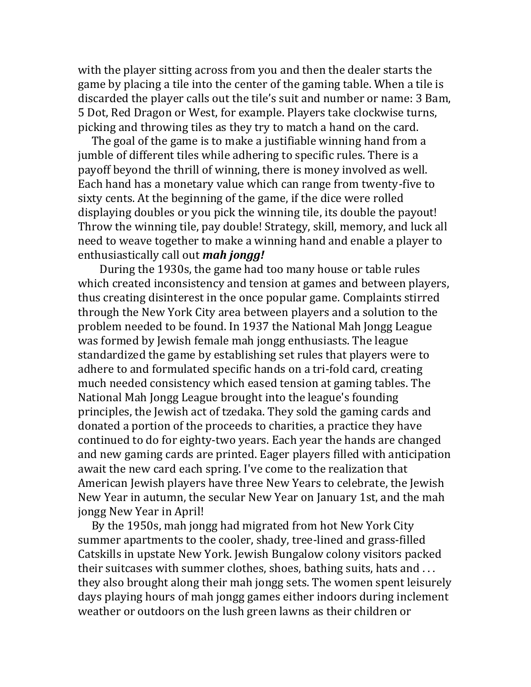with the player sitting across from you and then the dealer starts the game by placing a tile into the center of the gaming table. When a tile is discarded the player calls out the tile's suit and number or name: 3 Bam, 5 Dot, Red Dragon or West, for example. Players take clockwise turns, picking and throwing tiles as they try to match a hand on the card.

 The goal of the game is to make a justifiable winning hand from a jumble of different tiles while adhering to specific rules. There is a payoff beyond the thrill of winning, there is money involved as well. Each hand has a monetary value which can range from twenty-five to sixty cents. At the beginning of the game, if the dice were rolled displaying doubles or you pick the winning tile, its double the payout! Throw the winning tile, pay double! Strategy, skill, memory, and luck all need to weave together to make a winning hand and enable a player to enthusiastically call out *mah jongg!*

 During the 1930s, the game had too many house or table rules which created inconsistency and tension at games and between players, thus creating disinterest in the once popular game. Complaints stirred through the New York City area between players and a solution to the problem needed to be found. In 1937 the National Mah Jongg League was formed by Jewish female mah jongg enthusiasts. The league standardized the game by establishing set rules that players were to adhere to and formulated specific hands on a tri-fold card, creating much needed consistency which eased tension at gaming tables. The National Mah Jongg League brought into the league's founding principles, the Jewish act of tzedaka. They sold the gaming cards and donated a portion of the proceeds to charities, a practice they have continued to do for eighty-two years. Each year the hands are changed and new gaming cards are printed. Eager players filled with anticipation await the new card each spring. I've come to the realization that American Jewish players have three New Years to celebrate, the Jewish New Year in autumn, the secular New Year on January 1st, and the mah jongg New Year in April!

 By the 1950s, mah jongg had migrated from hot New York City summer apartments to the cooler, shady, tree-lined and grass-filled Catskills in upstate New York. Jewish Bungalow colony visitors packed their suitcases with summer clothes, shoes, bathing suits, hats and . . . they also brought along their mah jongg sets. The women spent leisurely days playing hours of mah jongg games either indoors during inclement weather or outdoors on the lush green lawns as their children or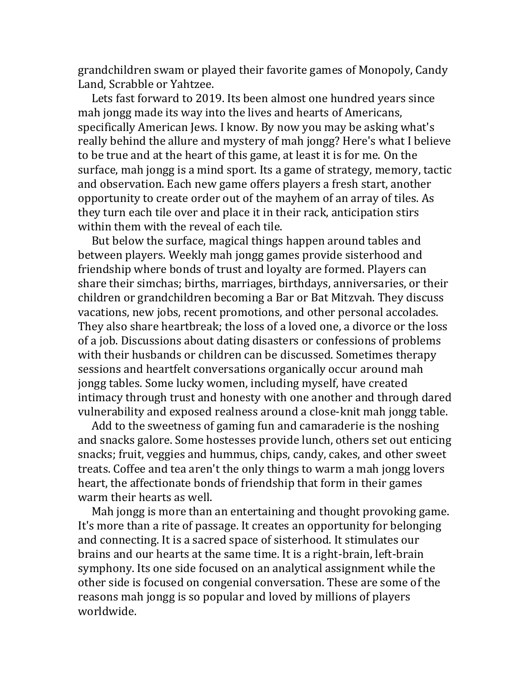grandchildren swam or played their favorite games of Monopoly, Candy Land, Scrabble or Yahtzee.

 Lets fast forward to 2019. Its been almost one hundred years since mah jongg made its way into the lives and hearts of Americans, specifically American Jews. I know. By now you may be asking what's really behind the allure and mystery of mah jongg? Here's what I believe to be true and at the heart of this game, at least it is for me. On the surface, mah jongg is a mind sport. Its a game of strategy, memory, tactic and observation. Each new game offers players a fresh start, another opportunity to create order out of the mayhem of an array of tiles. As they turn each tile over and place it in their rack, anticipation stirs within them with the reveal of each tile.

 But below the surface, magical things happen around tables and between players. Weekly mah jongg games provide sisterhood and friendship where bonds of trust and loyalty are formed. Players can share their simchas; births, marriages, birthdays, anniversaries, or their children or grandchildren becoming a Bar or Bat Mitzvah. They discuss vacations, new jobs, recent promotions, and other personal accolades. They also share heartbreak; the loss of a loved one, a divorce or the loss of a job. Discussions about dating disasters or confessions of problems with their husbands or children can be discussed. Sometimes therapy sessions and heartfelt conversations organically occur around mah jongg tables. Some lucky women, including myself, have created intimacy through trust and honesty with one another and through dared vulnerability and exposed realness around a close-knit mah jongg table.

 Add to the sweetness of gaming fun and camaraderie is the noshing and snacks galore. Some hostesses provide lunch, others set out enticing snacks; fruit, veggies and hummus, chips, candy, cakes, and other sweet treats. Coffee and tea aren't the only things to warm a mah jongg lovers heart, the affectionate bonds of friendship that form in their games warm their hearts as well.

 Mah jongg is more than an entertaining and thought provoking game. It's more than a rite of passage. It creates an opportunity for belonging and connecting. It is a sacred space of sisterhood. It stimulates our brains and our hearts at the same time. It is a right-brain, left-brain symphony. Its one side focused on an analytical assignment while the other side is focused on congenial conversation. These are some of the reasons mah jongg is so popular and loved by millions of players worldwide.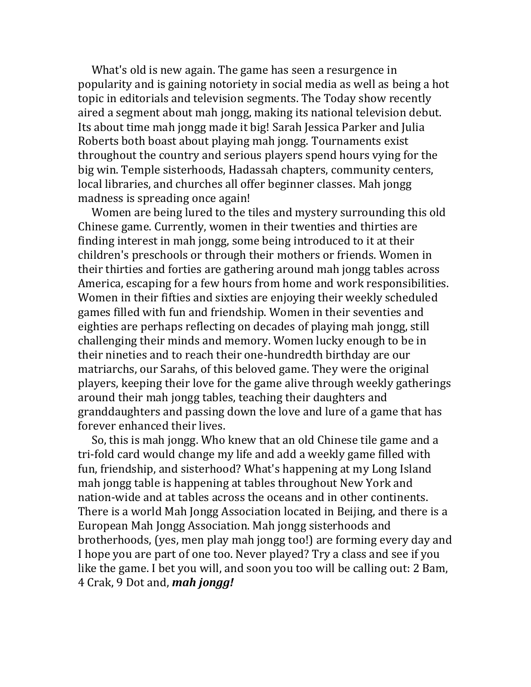What's old is new again. The game has seen a resurgence in popularity and is gaining notoriety in social media as well as being a hot topic in editorials and television segments. The Today show recently aired a segment about mah jongg, making its national television debut. Its about time mah jongg made it big! Sarah Jessica Parker and Julia Roberts both boast about playing mah jongg. Tournaments exist throughout the country and serious players spend hours vying for the big win. Temple sisterhoods, Hadassah chapters, community centers, local libraries, and churches all offer beginner classes. Mah jongg madness is spreading once again!

 Women are being lured to the tiles and mystery surrounding this old Chinese game. Currently, women in their twenties and thirties are finding interest in mah jongg, some being introduced to it at their children's preschools or through their mothers or friends. Women in their thirties and forties are gathering around mah jongg tables across America, escaping for a few hours from home and work responsibilities. Women in their fifties and sixties are enjoying their weekly scheduled games filled with fun and friendship. Women in their seventies and eighties are perhaps reflecting on decades of playing mah jongg, still challenging their minds and memory. Women lucky enough to be in their nineties and to reach their one-hundredth birthday are our matriarchs, our Sarahs, of this beloved game. They were the original players, keeping their love for the game alive through weekly gatherings around their mah jongg tables, teaching their daughters and granddaughters and passing down the love and lure of a game that has forever enhanced their lives.

 So, this is mah jongg. Who knew that an old Chinese tile game and a tri-fold card would change my life and add a weekly game filled with fun, friendship, and sisterhood? What's happening at my Long Island mah jongg table is happening at tables throughout New York and nation-wide and at tables across the oceans and in other continents. There is a world Mah Jongg Association located in Beijing, and there is a European Mah Jongg Association. Mah jongg sisterhoods and brotherhoods, (yes, men play mah jongg too!) are forming every day and I hope you are part of one too. Never played? Try a class and see if you like the game. I bet you will, and soon you too will be calling out: 2 Bam, 4 Crak, 9 Dot and, *mah jongg!*